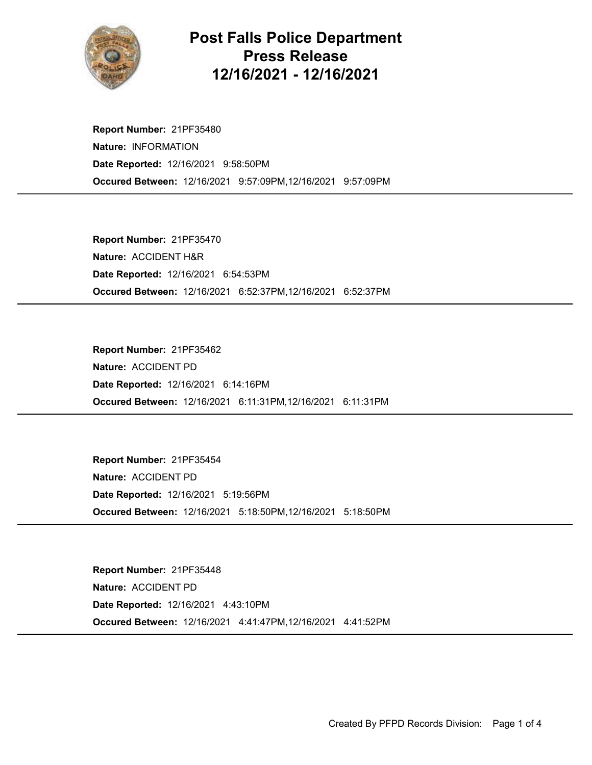

## Post Falls Police Department Press Release 12/16/2021 - 12/16/2021

Occured Between: 12/16/2021 9:57:09PM,12/16/2021 9:57:09PM Report Number: 21PF35480 Nature: INFORMATION Date Reported: 12/16/2021 9:58:50PM

Occured Between: 12/16/2021 6:52:37PM,12/16/2021 6:52:37PM Report Number: 21PF35470 Nature: ACCIDENT H&R Date Reported: 12/16/2021 6:54:53PM

Occured Between: 12/16/2021 6:11:31PM,12/16/2021 6:11:31PM Report Number: 21PF35462 Nature: ACCIDENT PD Date Reported: 12/16/2021 6:14:16PM

Occured Between: 12/16/2021 5:18:50PM,12/16/2021 5:18:50PM Report Number: 21PF35454 Nature: ACCIDENT PD Date Reported: 12/16/2021 5:19:56PM

Occured Between: 12/16/2021 4:41:47PM,12/16/2021 4:41:52PM Report Number: 21PF35448 Nature: ACCIDENT PD Date Reported: 12/16/2021 4:43:10PM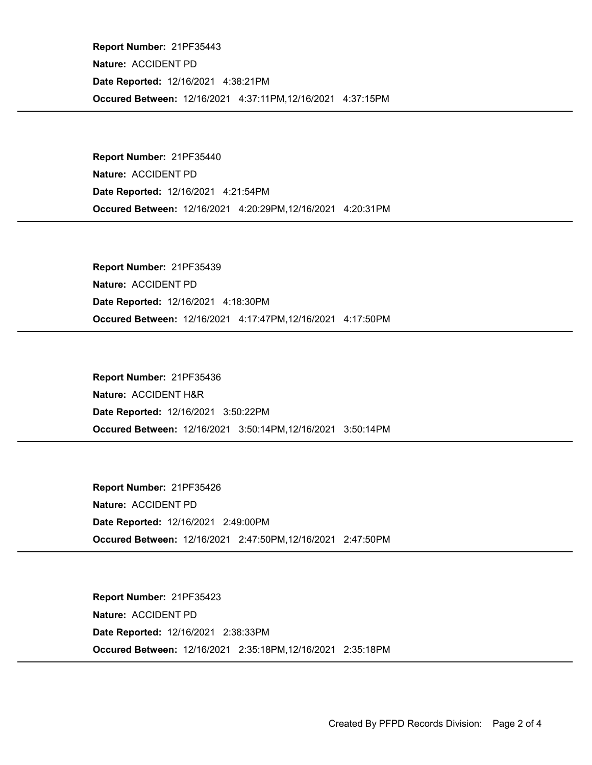Occured Between: 12/16/2021 4:37:11PM,12/16/2021 4:37:15PM Report Number: 21PF35443 Nature: ACCIDENT PD Date Reported: 12/16/2021 4:38:21PM

Occured Between: 12/16/2021 4:20:29PM,12/16/2021 4:20:31PM Report Number: 21PF35440 Nature: ACCIDENT PD Date Reported: 12/16/2021 4:21:54PM

Occured Between: 12/16/2021 4:17:47PM,12/16/2021 4:17:50PM Report Number: 21PF35439 Nature: ACCIDENT PD Date Reported: 12/16/2021 4:18:30PM

Occured Between: 12/16/2021 3:50:14PM,12/16/2021 3:50:14PM Report Number: 21PF35436 Nature: ACCIDENT H&R Date Reported: 12/16/2021 3:50:22PM

Occured Between: 12/16/2021 2:47:50PM,12/16/2021 2:47:50PM Report Number: 21PF35426 Nature: ACCIDENT PD Date Reported: 12/16/2021 2:49:00PM

Occured Between: 12/16/2021 2:35:18PM,12/16/2021 2:35:18PM Report Number: 21PF35423 Nature: ACCIDENT PD Date Reported: 12/16/2021 2:38:33PM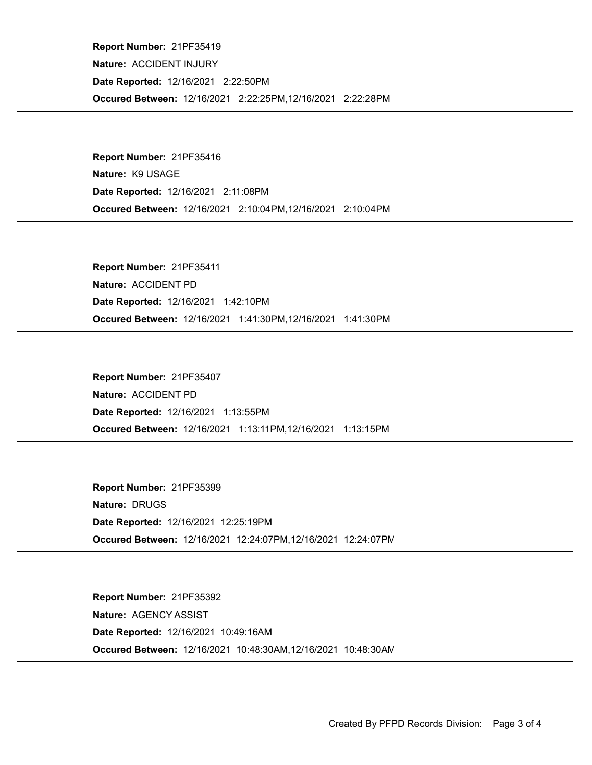Occured Between: 12/16/2021 2:22:25PM,12/16/2021 2:22:28PM Report Number: 21PF35419 Nature: ACCIDENT INJURY Date Reported: 12/16/2021 2:22:50PM

Occured Between: 12/16/2021 2:10:04PM,12/16/2021 2:10:04PM Report Number: 21PF35416 Nature: K9 USAGE Date Reported: 12/16/2021 2:11:08PM

Occured Between: 12/16/2021 1:41:30PM,12/16/2021 1:41:30PM Report Number: 21PF35411 Nature: ACCIDENT PD Date Reported: 12/16/2021 1:42:10PM

Occured Between: 12/16/2021 1:13:11PM,12/16/2021 1:13:15PM Report Number: 21PF35407 Nature: ACCIDENT PD Date Reported: 12/16/2021 1:13:55PM

Occured Between: 12/16/2021 12:24:07PM,12/16/2021 12:24:07PM Report Number: 21PF35399 Nature: DRUGS Date Reported: 12/16/2021 12:25:19PM

Occured Between: 12/16/2021 10:48:30AM,12/16/2021 10:48:30AM Report Number: 21PF35392 Nature: AGENCY ASSIST Date Reported: 12/16/2021 10:49:16AM